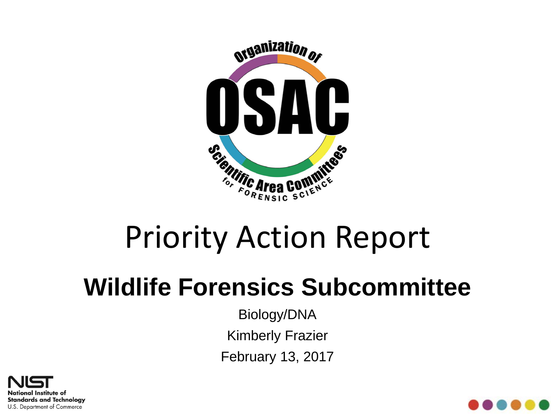

# Priority Action Report

## **Wildlife Forensics Subcommittee**

Biology/DNA Kimberly Frazier February 13, 2017



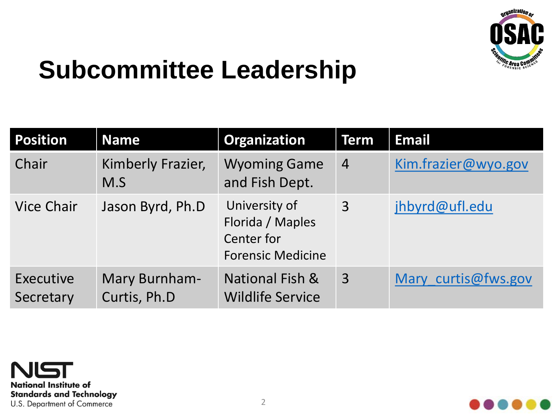

#### **Subcommittee Leadership**

| <b>Position</b>        | <b>Name</b>                   | Organization                                                                | Term           | <b>Email</b>        |
|------------------------|-------------------------------|-----------------------------------------------------------------------------|----------------|---------------------|
| Chair                  | Kimberly Frazier,<br>M.S      | <b>Wyoming Game</b><br>and Fish Dept.                                       | $\overline{4}$ | Kim.frazier@wyo.gov |
| <b>Vice Chair</b>      | Jason Byrd, Ph.D              | University of<br>Florida / Maples<br>Center for<br><b>Forensic Medicine</b> | $\overline{3}$ | jhbyrd@ufl.edu      |
| Executive<br>Secretary | Mary Burnham-<br>Curtis, Ph.D | National Fish &<br><b>Wildlife Service</b>                                  | $\overline{3}$ | Mary curtis@fws.gov |



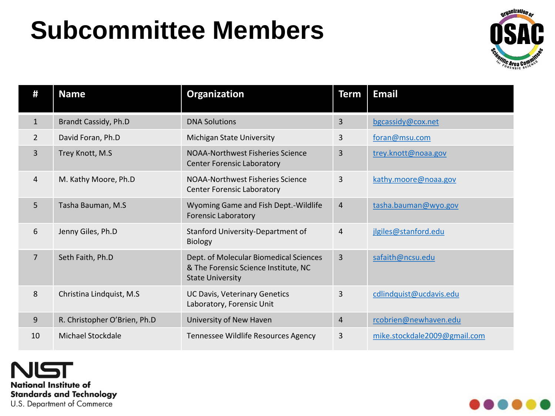## **Subcommittee Members**



| #              | <b>Name</b>                  | Organization                                                                                              | <b>Term</b>    | <b>Email</b>                 |
|----------------|------------------------------|-----------------------------------------------------------------------------------------------------------|----------------|------------------------------|
| $\mathbf{1}$   | Brandt Cassidy, Ph.D         | <b>DNA Solutions</b>                                                                                      | $\overline{3}$ | bgcassidy@cox.net            |
| $\overline{2}$ | David Foran, Ph.D            | <b>Michigan State University</b>                                                                          | 3              | foran@msu.com                |
| 3              | Trey Knott, M.S              | <b>NOAA-Northwest Fisheries Science</b><br><b>Center Forensic Laboratory</b>                              | 3              | trey.knott@noaa.gov          |
| 4              | M. Kathy Moore, Ph.D         | NOAA-Northwest Fisheries Science<br><b>Center Forensic Laboratory</b>                                     | 3              | kathy.moore@noaa.gov         |
| 5              | Tasha Bauman, M.S            | Wyoming Game and Fish Dept.-Wildlife<br><b>Forensic Laboratory</b>                                        | $\overline{4}$ | tasha.bauman@wyo.gov         |
| 6              | Jenny Giles, Ph.D            | Stanford University-Department of<br><b>Biology</b>                                                       | $\overline{4}$ | jlgiles@stanford.edu         |
| $\overline{7}$ | Seth Faith, Ph.D             | Dept. of Molecular Biomedical Sciences<br>& The Forensic Science Institute, NC<br><b>State University</b> | $\overline{3}$ | safaith@ncsu.edu             |
| 8              | Christina Lindquist, M.S.    | <b>UC Davis, Veterinary Genetics</b><br>Laboratory, Forensic Unit                                         | 3              | cdlindquist@ucdavis.edu      |
| 9              | R. Christopher O'Brien, Ph.D | University of New Haven                                                                                   | $\overline{4}$ | rcobrien@newhaven.edu        |
| 10             | Michael Stockdale            | Tennessee Wildlife Resources Agency                                                                       | 3              | mike.stockdale2009@gmail.com |

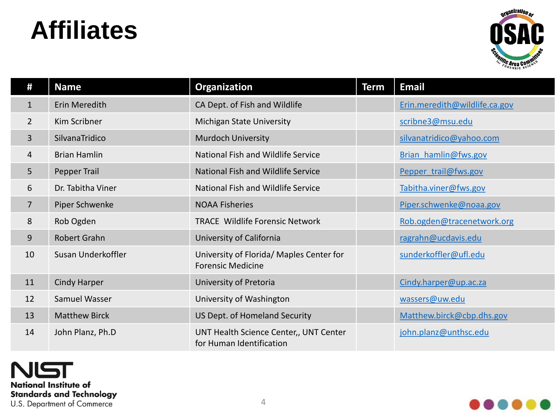#### **Affiliates**



| #              | <b>Name</b>          | Organization                                                         | <b>Term</b> | <b>Email</b>                  |
|----------------|----------------------|----------------------------------------------------------------------|-------------|-------------------------------|
| $\mathbf{1}$   | Erin Meredith        | CA Dept. of Fish and Wildlife                                        |             | Erin.meredith@wildlife.ca.gov |
| $\overline{2}$ | Kim Scribner         | Michigan State University                                            |             | scribne3@msu.edu              |
| 3              | SilvanaTridico       | <b>Murdoch University</b>                                            |             | silvanatridico@yahoo.com      |
| 4              | <b>Brian Hamlin</b>  | National Fish and Wildlife Service                                   |             | Brian hamlin@fws.gov          |
| 5              | Pepper Trail         | National Fish and Wildlife Service                                   |             | Pepper trail@fws.gov          |
| 6              | Dr. Tabitha Viner    | National Fish and Wildlife Service                                   |             | Tabitha.viner@fws.gov         |
| 7              | Piper Schwenke       | <b>NOAA Fisheries</b>                                                |             | Piper.schwenke@noaa.gov       |
| 8              | Rob Ogden            | <b>TRACE Wildlife Forensic Network</b>                               |             | Rob.ogden@tracenetwork.org    |
| 9              | Robert Grahn         | University of California                                             |             | ragrahn@ucdavis.edu           |
| 10             | Susan Underkoffler   | University of Florida/ Maples Center for<br><b>Forensic Medicine</b> |             | sunderkoffler@ufl.edu         |
| 11             | <b>Cindy Harper</b>  | University of Pretoria                                               |             | Cindy.harper@up.ac.za         |
| 12             | Samuel Wasser        | University of Washington                                             |             | wassers@uw.edu                |
| 13             | <b>Matthew Birck</b> | US Dept. of Homeland Security                                        |             | Matthew.birck@cbp.dhs.gov     |
| 14             | John Planz, Ph.D     | UNT Health Science Center,, UNT Center<br>for Human Identification   |             | john.planz@unthsc.edu         |

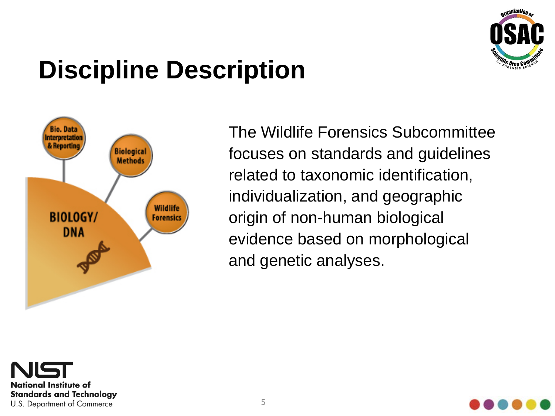

## **Discipline Description**



The Wildlife Forensics Subcommittee focuses on standards and guidelines related to taxonomic identification, individualization, and geographic origin of non-human biological evidence based on morphological and genetic analyses.



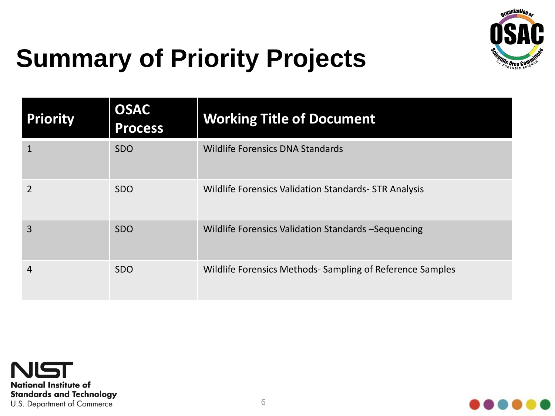

## **Summary of Priority Projects**

| <b>Priority</b> | <b>OSAC</b><br><b>Process</b> | <b>Working Title of Document</b>                         |
|-----------------|-------------------------------|----------------------------------------------------------|
|                 | <b>SDO</b>                    | <b>Wildlife Forensics DNA Standards</b>                  |
|                 | <b>SDO</b>                    | Wildlife Forensics Validation Standards - STR Analysis   |
| 3               | <b>SDO</b>                    | Wildlife Forensics Validation Standards - Sequencing     |
| 4               | <b>SDO</b>                    | Wildlife Forensics Methods-Sampling of Reference Samples |



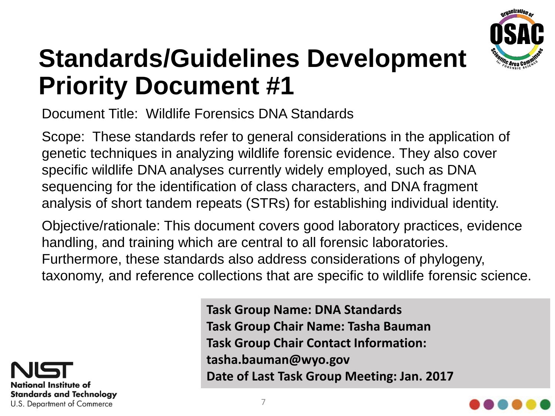

Document Title: Wildlife Forensics DNA Standards

Scope: These standards refer to general considerations in the application of genetic techniques in analyzing wildlife forensic evidence. They also cover specific wildlife DNA analyses currently widely employed, such as DNA sequencing for the identification of class characters, and DNA fragment analysis of short tandem repeats (STRs) for establishing individual identity.

Objective/rationale: This document covers good laboratory practices, evidence handling, and training which are central to all forensic laboratories. Furthermore, these standards also address considerations of phylogeny, taxonomy, and reference collections that are specific to wildlife forensic science.



**Task Group Name: DNA Standards Task Group Chair Name: Tasha Bauman Task Group Chair Contact Information: tasha.bauman@wyo.gov Date of Last Task Group Meeting: Jan. 2017**

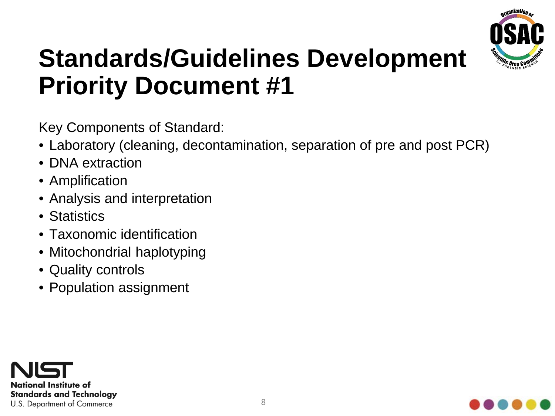

Key Components of Standard:

- Laboratory (cleaning, decontamination, separation of pre and post PCR)
- DNA extraction
- Amplification
- Analysis and interpretation
- Statistics
- Taxonomic identification
- Mitochondrial haplotyping
- Quality controls
- Population assignment



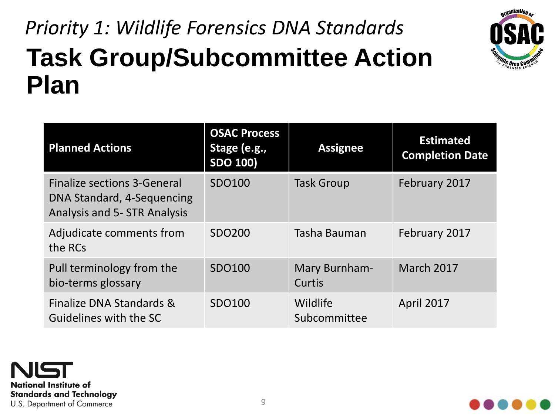#### **Task Group/Subcommittee Action Plan** *Priority 1: Wildlife Forensics DNA Standards*



| <b>Planned Actions</b>                                                                                  | <b>OSAC Process</b><br>Stage (e.g.,<br><b>SDO 100)</b> | <b>Assignee</b>          | <b>Estimated</b><br><b>Completion Date</b> |
|---------------------------------------------------------------------------------------------------------|--------------------------------------------------------|--------------------------|--------------------------------------------|
| <b>Finalize sections 3-General</b><br>DNA Standard, 4-Sequencing<br><b>Analysis and 5- STR Analysis</b> | SDO100                                                 | <b>Task Group</b>        | February 2017                              |
| Adjudicate comments from<br>the RCs                                                                     | SDO200                                                 | Tasha Bauman             | February 2017                              |
| Pull terminology from the<br>bio-terms glossary                                                         | SDO100                                                 | Mary Burnham-<br>Curtis  | <b>March 2017</b>                          |
| Finalize DNA Standards &<br>Guidelines with the SC                                                      | SDO100                                                 | Wildlife<br>Subcommittee | <b>April 2017</b>                          |



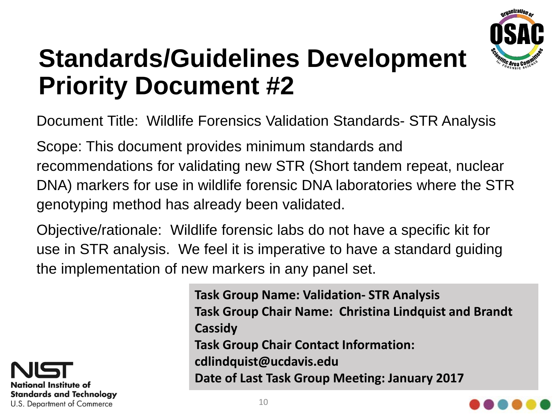

Document Title: Wildlife Forensics Validation Standards- STR Analysis

Scope: This document provides minimum standards and recommendations for validating new STR (Short tandem repeat, nuclear DNA) markers for use in wildlife forensic DNA laboratories where the STR genotyping method has already been validated.

Objective/rationale: Wildlife forensic labs do not have a specific kit for use in STR analysis. We feel it is imperative to have a standard guiding the implementation of new markers in any panel set.



**Task Group Name: Validation- STR Analysis Task Group Chair Name: Christina Lindquist and Brandt Cassidy Task Group Chair Contact Information: cdlindquist@ucdavis.edu Date of Last Task Group Meeting: January 2017**

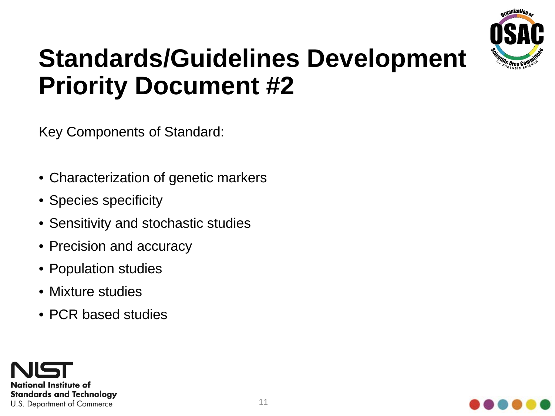

Key Components of Standard:

- Characterization of genetic markers
- Species specificity
- Sensitivity and stochastic studies
- Precision and accuracy
- Population studies
- Mixture studies
- PCR based studies



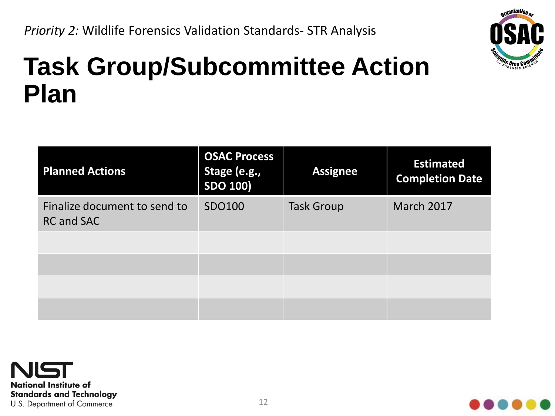

#### **Task Group/Subcommittee Action Plan**

| <b>Planned Actions</b>                            | <b>OSAC Process</b><br>Stage (e.g.,<br><b>SDO 100)</b> | <b>Assignee</b>   | <b>Estimated</b><br><b>Completion Date</b> |
|---------------------------------------------------|--------------------------------------------------------|-------------------|--------------------------------------------|
| Finalize document to send to<br><b>RC and SAC</b> | SDO100                                                 | <b>Task Group</b> | <b>March 2017</b>                          |
|                                                   |                                                        |                   |                                            |
|                                                   |                                                        |                   |                                            |
|                                                   |                                                        |                   |                                            |
|                                                   |                                                        |                   |                                            |



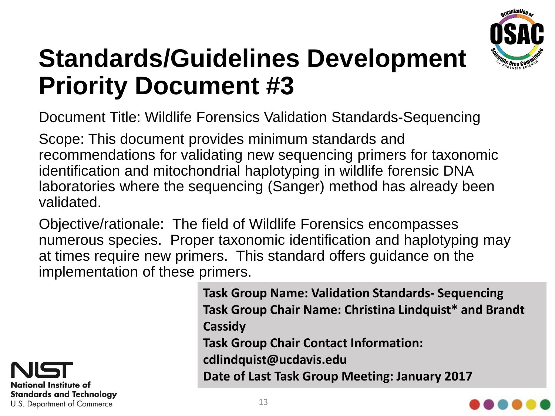

Document Title: Wildlife Forensics Validation Standards-Sequencing

Scope: This document provides minimum standards and recommendations for validating new sequencing primers for taxonomic identification and mitochondrial haplotyping in wildlife forensic DNA laboratories where the sequencing (Sanger) method has already been validated.

Objective/rationale: The field of Wildlife Forensics encompasses numerous species. Proper taxonomic identification and haplotyping may at times require new primers. This standard offers guidance on the implementation of these primers.



**Task Group Name: Validation Standards- Sequencing Task Group Chair Name: Christina Lindquist\* and Brandt Cassidy Task Group Chair Contact Information: cdlindquist@ucdavis.edu Date of Last Task Group Meeting: January 2017**

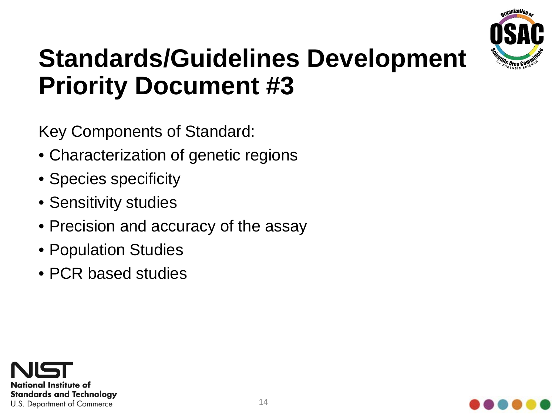

Key Components of Standard:

- Characterization of genetic regions
- Species specificity
- Sensitivity studies
- Precision and accuracy of the assay
- Population Studies
- PCR based studies



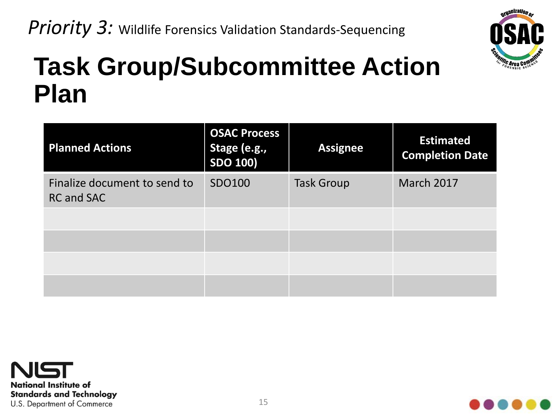

#### **Task Group/Subcommittee Action Plan**

| <b>Planned Actions</b>                            | <b>OSAC Process</b><br>Stage (e.g.,<br><b>SDO 100)</b> | <b>Assignee</b>   | <b>Estimated</b><br><b>Completion Date</b> |
|---------------------------------------------------|--------------------------------------------------------|-------------------|--------------------------------------------|
| Finalize document to send to<br><b>RC and SAC</b> | SDO100                                                 | <b>Task Group</b> | March 2017                                 |
|                                                   |                                                        |                   |                                            |
|                                                   |                                                        |                   |                                            |
|                                                   |                                                        |                   |                                            |
|                                                   |                                                        |                   |                                            |



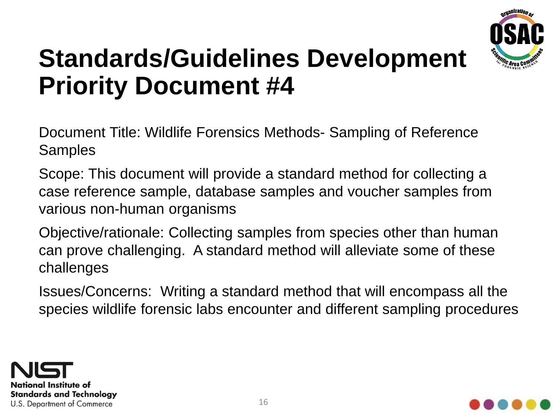

Document Title: Wildlife Forensics Methods- Sampling of Reference **Samples** 

Scope: This document will provide a standard method for collecting a case reference sample, database samples and voucher samples from various non-human organisms

Objective/rationale: Collecting samples from species other than human can prove challenging. A standard method will alleviate some of these challenges

Issues/Concerns: Writing a standard method that will encompass all the species wildlife forensic labs encounter and different sampling procedures



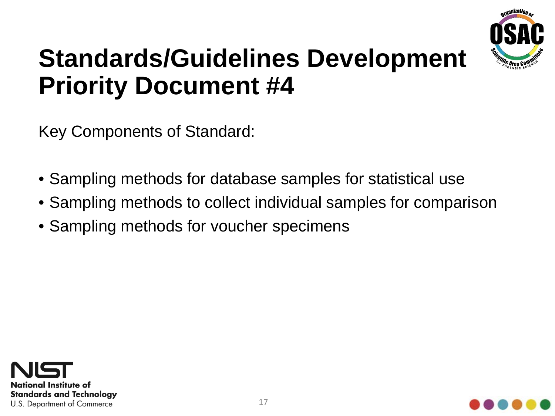

Key Components of Standard:

- Sampling methods for database samples for statistical use
- Sampling methods to collect individual samples for comparison
- Sampling methods for voucher specimens



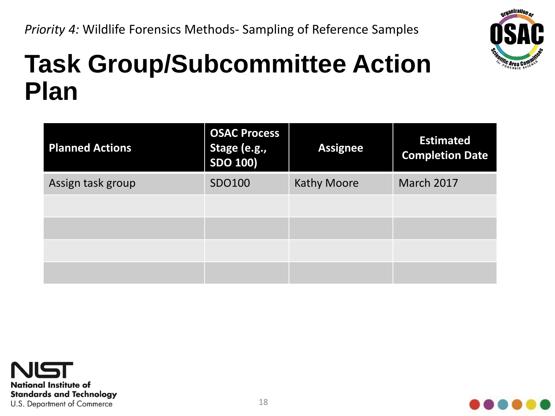*Priority 4:* Wildlife Forensics Methods- Sampling of Reference Samples



#### **Task Group/Subcommittee Action Plan**

| <b>Planned Actions</b> | <b>OSAC Process</b><br>Stage (e.g.,<br><b>SDO 100)</b> | <b>Assignee</b>    | <b>Estimated</b><br><b>Completion Date</b> |
|------------------------|--------------------------------------------------------|--------------------|--------------------------------------------|
| Assign task group      | SDO100                                                 | <b>Kathy Moore</b> | March 2017                                 |
|                        |                                                        |                    |                                            |
|                        |                                                        |                    |                                            |
|                        |                                                        |                    |                                            |
|                        |                                                        |                    |                                            |



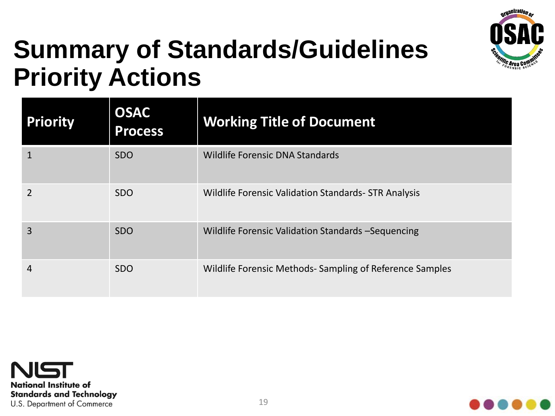

#### **Summary of Standards/Guidelines Priority Actions**

| <b>Priority</b> | <b>OSAC</b><br><b>Process</b> | <b>Working Title of Document</b>                        |
|-----------------|-------------------------------|---------------------------------------------------------|
|                 | <b>SDO</b>                    | <b>Wildlife Forensic DNA Standards</b>                  |
|                 | <b>SDO</b>                    | Wildlife Forensic Validation Standards- STR Analysis    |
| 3               | <b>SDO</b>                    | Wildlife Forensic Validation Standards - Sequencing     |
| 4               | <b>SDO</b>                    | Wildlife Forensic Methods-Sampling of Reference Samples |



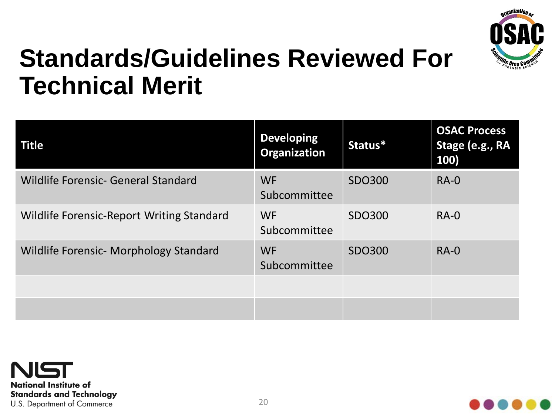

#### **Standards/Guidelines Reviewed For Technical Merit**

| <b>Title</b>                                     | <b>Developing</b><br><b>Organization</b> | Status* | <b>OSAC Process</b><br>Stage (e.g., RA<br>100) |
|--------------------------------------------------|------------------------------------------|---------|------------------------------------------------|
| Wildlife Forensic- General Standard              | <b>WF</b><br>Subcommittee                | SDO300  | $RA-0$                                         |
| <b>Wildlife Forensic-Report Writing Standard</b> | <b>WF</b><br>Subcommittee                | SDO300  | $RA-0$                                         |
| <b>Wildlife Forensic- Morphology Standard</b>    | <b>WF</b><br>Subcommittee                | SDO300  | $RA-0$                                         |
|                                                  |                                          |         |                                                |
|                                                  |                                          |         |                                                |



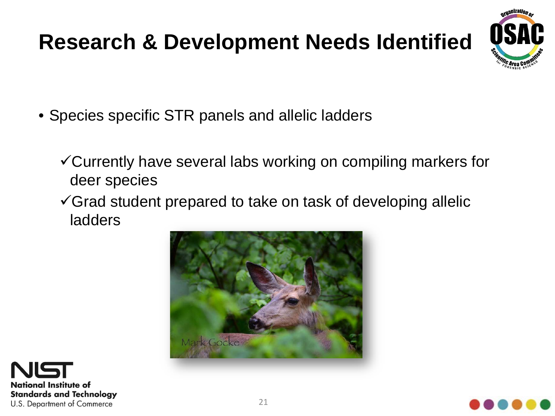#### **Research & Development Needs Identified**



- Species specific STR panels and allelic ladders
	- Currently have several labs working on compiling markers for deer species
	- $\checkmark$  Grad student prepared to take on task of developing allelic ladders